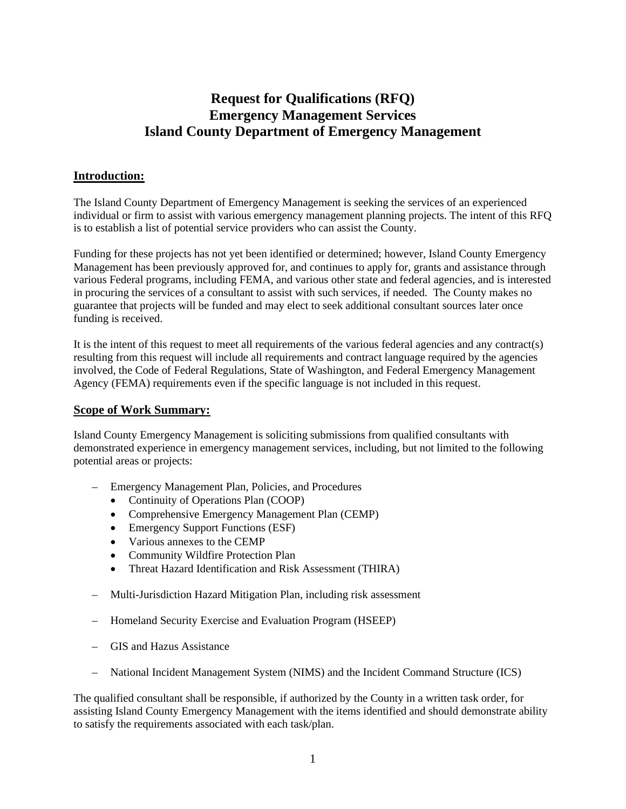# **Request for Qualifications (RFQ) Emergency Management Services Island County Department of Emergency Management**

## **Introduction:**

The Island County Department of Emergency Management is seeking the services of an experienced individual or firm to assist with various emergency management planning projects. The intent of this RFQ is to establish a list of potential service providers who can assist the County.

Funding for these projects has not yet been identified or determined; however, Island County Emergency Management has been previously approved for, and continues to apply for, grants and assistance through various Federal programs, including FEMA, and various other state and federal agencies, and is interested in procuring the services of a consultant to assist with such services, if needed. The County makes no guarantee that projects will be funded and may elect to seek additional consultant sources later once funding is received.

It is the intent of this request to meet all requirements of the various federal agencies and any contract(s) resulting from this request will include all requirements and contract language required by the agencies involved, the Code of Federal Regulations, State of Washington, and Federal Emergency Management Agency (FEMA) requirements even if the specific language is not included in this request.

### **Scope of Work Summary:**

Island County Emergency Management is soliciting submissions from qualified consultants with demonstrated experience in emergency management services, including, but not limited to the following potential areas or projects:

- Emergency Management Plan, Policies, and Procedures
	- Continuity of Operations Plan (COOP)
	- Comprehensive Emergency Management Plan (CEMP)
	- Emergency Support Functions (ESF)
	- Various annexes to the CEMP
	- Community Wildfire Protection Plan
	- Threat Hazard Identification and Risk Assessment (THIRA)
- Multi-Jurisdiction Hazard Mitigation Plan, including risk assessment
- Homeland Security Exercise and Evaluation Program (HSEEP)
- GIS and Hazus Assistance
- National Incident Management System (NIMS) and the Incident Command Structure (ICS)

The qualified consultant shall be responsible, if authorized by the County in a written task order, for assisting Island County Emergency Management with the items identified and should demonstrate ability to satisfy the requirements associated with each task/plan.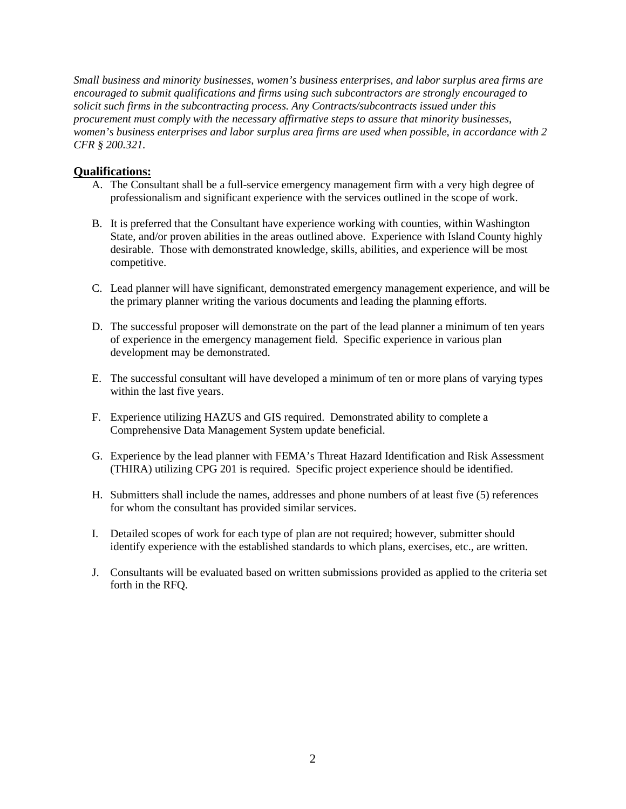*Small business and minority businesses, women's business enterprises, and labor surplus area firms are encouraged to submit qualifications and firms using such subcontractors are strongly encouraged to solicit such firms in the subcontracting process. Any Contracts/subcontracts issued under this procurement must comply with the necessary affirmative steps to assure that minority businesses, women's business enterprises and labor surplus area firms are used when possible, in accordance with 2 CFR § 200.321.*

#### **Qualifications:**

- A. The Consultant shall be a full-service emergency management firm with a very high degree of professionalism and significant experience with the services outlined in the scope of work.
- B. It is preferred that the Consultant have experience working with counties, within Washington State, and/or proven abilities in the areas outlined above. Experience with Island County highly desirable. Those with demonstrated knowledge, skills, abilities, and experience will be most competitive.
- C. Lead planner will have significant, demonstrated emergency management experience, and will be the primary planner writing the various documents and leading the planning efforts.
- D. The successful proposer will demonstrate on the part of the lead planner a minimum of ten years of experience in the emergency management field. Specific experience in various plan development may be demonstrated.
- E. The successful consultant will have developed a minimum of ten or more plans of varying types within the last five years.
- F. Experience utilizing HAZUS and GIS required. Demonstrated ability to complete a Comprehensive Data Management System update beneficial.
- G. Experience by the lead planner with FEMA's Threat Hazard Identification and Risk Assessment (THIRA) utilizing CPG 201 is required. Specific project experience should be identified.
- H. Submitters shall include the names, addresses and phone numbers of at least five (5) references for whom the consultant has provided similar services.
- I. Detailed scopes of work for each type of plan are not required; however, submitter should identify experience with the established standards to which plans, exercises, etc., are written.
- J. Consultants will be evaluated based on written submissions provided as applied to the criteria set forth in the RFQ.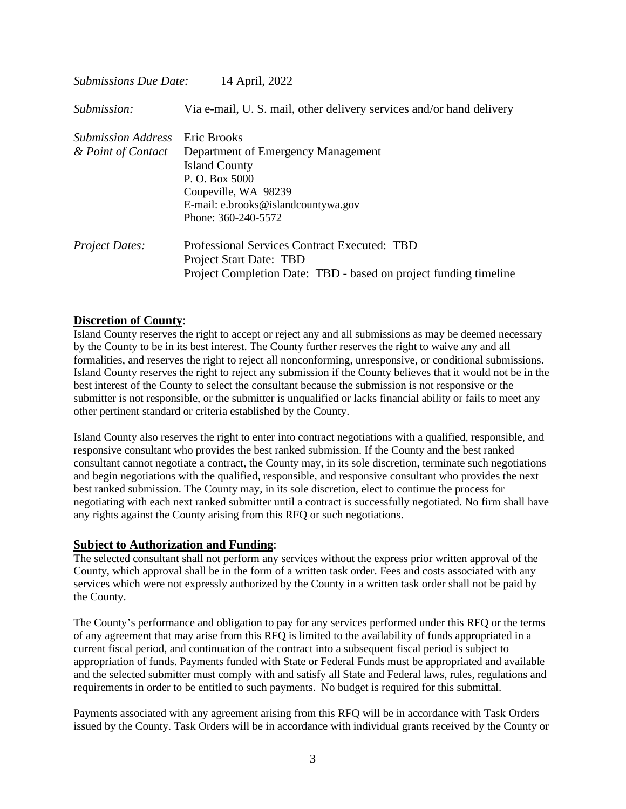| <b>Submissions Due Date:</b> | 14 April, 2022                                                      |  |  |  |  |  |  |
|------------------------------|---------------------------------------------------------------------|--|--|--|--|--|--|
| Submission:                  | Via e-mail, U.S. mail, other delivery services and/or hand delivery |  |  |  |  |  |  |
| <b>Submission Address</b>    | Eric Brooks                                                         |  |  |  |  |  |  |
| & Point of Contact           | Department of Emergency Management                                  |  |  |  |  |  |  |
|                              | <b>Island County</b>                                                |  |  |  |  |  |  |
|                              | P. O. Box 5000                                                      |  |  |  |  |  |  |
|                              | Coupeville, WA 98239                                                |  |  |  |  |  |  |
|                              | E-mail: e.brooks@islandcountywa.gov                                 |  |  |  |  |  |  |
|                              | Phone: 360-240-5572                                                 |  |  |  |  |  |  |
| <b>Project Dates:</b>        | Professional Services Contract Executed: TBD                        |  |  |  |  |  |  |
|                              | Project Start Date: TBD                                             |  |  |  |  |  |  |
|                              | Project Completion Date: TBD - based on project funding timeline    |  |  |  |  |  |  |

#### **Discretion of County**:

Island County reserves the right to accept or reject any and all submissions as may be deemed necessary by the County to be in its best interest. The County further reserves the right to waive any and all formalities, and reserves the right to reject all nonconforming, unresponsive, or conditional submissions. Island County reserves the right to reject any submission if the County believes that it would not be in the best interest of the County to select the consultant because the submission is not responsive or the submitter is not responsible, or the submitter is unqualified or lacks financial ability or fails to meet any other pertinent standard or criteria established by the County.

Island County also reserves the right to enter into contract negotiations with a qualified, responsible, and responsive consultant who provides the best ranked submission. If the County and the best ranked consultant cannot negotiate a contract, the County may, in its sole discretion, terminate such negotiations and begin negotiations with the qualified, responsible, and responsive consultant who provides the next best ranked submission. The County may, in its sole discretion, elect to continue the process for negotiating with each next ranked submitter until a contract is successfully negotiated. No firm shall have any rights against the County arising from this RFQ or such negotiations.

#### **Subject to Authorization and Funding**:

The selected consultant shall not perform any services without the express prior written approval of the County, which approval shall be in the form of a written task order. Fees and costs associated with any services which were not expressly authorized by the County in a written task order shall not be paid by the County.

The County's performance and obligation to pay for any services performed under this RFQ or the terms of any agreement that may arise from this RFQ is limited to the availability of funds appropriated in a current fiscal period, and continuation of the contract into a subsequent fiscal period is subject to appropriation of funds. Payments funded with State or Federal Funds must be appropriated and available and the selected submitter must comply with and satisfy all State and Federal laws, rules, regulations and requirements in order to be entitled to such payments. No budget is required for this submittal.

Payments associated with any agreement arising from this RFQ will be in accordance with Task Orders issued by the County. Task Orders will be in accordance with individual grants received by the County or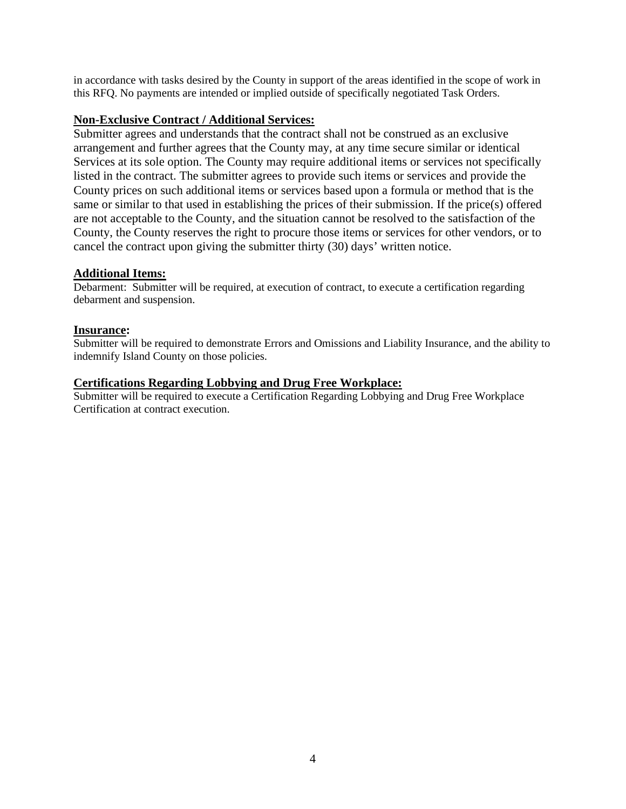in accordance with tasks desired by the County in support of the areas identified in the scope of work in this RFQ. No payments are intended or implied outside of specifically negotiated Task Orders.

#### **Non-Exclusive Contract / Additional Services:**

Submitter agrees and understands that the contract shall not be construed as an exclusive arrangement and further agrees that the County may, at any time secure similar or identical Services at its sole option. The County may require additional items or services not specifically listed in the contract. The submitter agrees to provide such items or services and provide the County prices on such additional items or services based upon a formula or method that is the same or similar to that used in establishing the prices of their submission. If the price(s) offered are not acceptable to the County, and the situation cannot be resolved to the satisfaction of the County, the County reserves the right to procure those items or services for other vendors, or to cancel the contract upon giving the submitter thirty (30) days' written notice.

# **Additional Items:**

Debarment: Submitter will be required, at execution of contract, to execute a certification regarding debarment and suspension.

#### **Insurance:**

Submitter will be required to demonstrate Errors and Omissions and Liability Insurance, and the ability to indemnify Island County on those policies.

## **Certifications Regarding Lobbying and Drug Free Workplace:**

Submitter will be required to execute a Certification Regarding Lobbying and Drug Free Workplace Certification at contract execution.